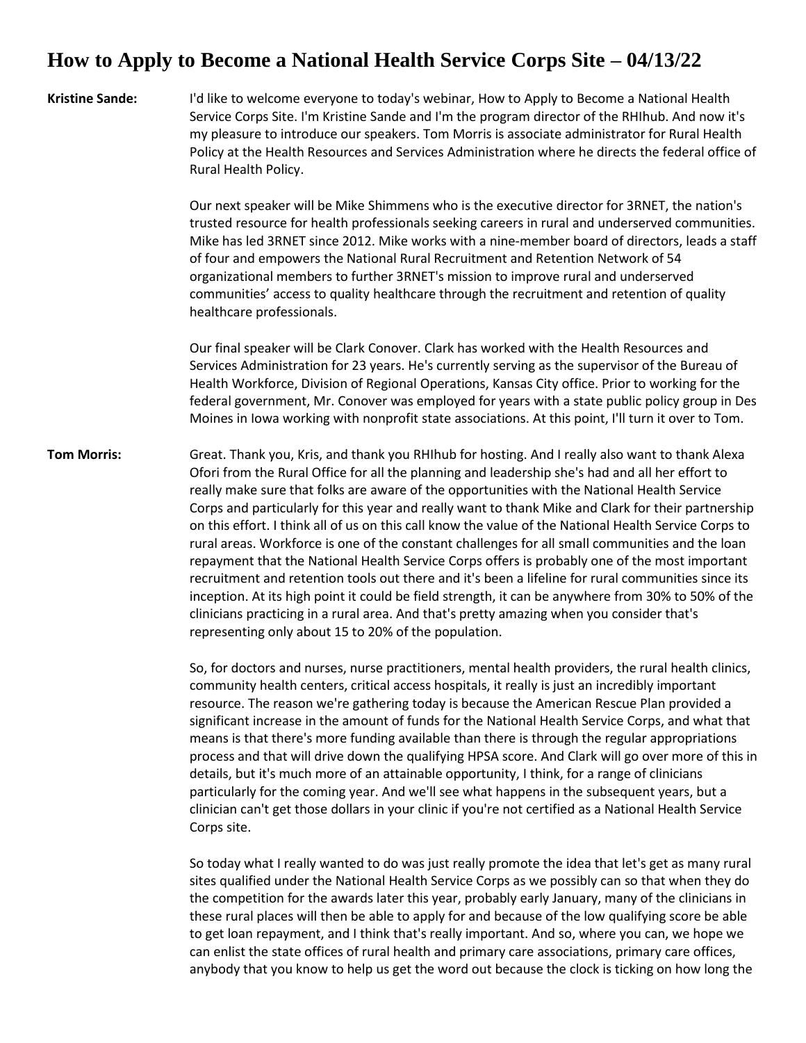## **How to Apply to Become a National Health Service Corps Site – 04/13/22**

**Kristine Sande:** I'd like to welcome everyone to today's webinar, How to Apply to Become a National Health Service Corps Site. I'm Kristine Sande and I'm the program director of the RHIhub. And now it's my pleasure to introduce our speakers. Tom Morris is associate administrator for Rural Health Policy at the Health Resources and Services Administration where he directs the federal office of Rural Health Policy.

> Our next speaker will be Mike Shimmens who is the executive director for 3RNET, the nation's trusted resource for health professionals seeking careers in rural and underserved communities. Mike has led 3RNET since 2012. Mike works with a nine-member board of directors, leads a staff of four and empowers the National Rural Recruitment and Retention Network of 54 organizational members to further 3RNET's mission to improve rural and underserved communities' access to quality healthcare through the recruitment and retention of quality healthcare professionals.

> Our final speaker will be Clark Conover. Clark has worked with the Health Resources and Services Administration for 23 years. He's currently serving as the supervisor of the Bureau of Health Workforce, Division of Regional Operations, Kansas City office. Prior to working for the federal government, Mr. Conover was employed for years with a state public policy group in Des Moines in Iowa working with nonprofit state associations. At this point, I'll turn it over to Tom.

**Tom Morris:** Great. Thank you, Kris, and thank you RHIhub for hosting. And I really also want to thank Alexa Ofori from the Rural Office for all the planning and leadership she's had and all her effort to really make sure that folks are aware of the opportunities with the National Health Service Corps and particularly for this year and really want to thank Mike and Clark for their partnership on this effort. I think all of us on this call know the value of the National Health Service Corps to rural areas. Workforce is one of the constant challenges for all small communities and the loan repayment that the National Health Service Corps offers is probably one of the most important recruitment and retention tools out there and it's been a lifeline for rural communities since its inception. At its high point it could be field strength, it can be anywhere from 30% to 50% of the clinicians practicing in a rural area. And that's pretty amazing when you consider that's representing only about 15 to 20% of the population.

> So, for doctors and nurses, nurse practitioners, mental health providers, the rural health clinics, community health centers, critical access hospitals, it really is just an incredibly important resource. The reason we're gathering today is because the American Rescue Plan provided a significant increase in the amount of funds for the National Health Service Corps, and what that means is that there's more funding available than there is through the regular appropriations process and that will drive down the qualifying HPSA score. And Clark will go over more of this in details, but it's much more of an attainable opportunity, I think, for a range of clinicians particularly for the coming year. And we'll see what happens in the subsequent years, but a clinician can't get those dollars in your clinic if you're not certified as a National Health Service Corps site.

So today what I really wanted to do was just really promote the idea that let's get as many rural sites qualified under the National Health Service Corps as we possibly can so that when they do the competition for the awards later this year, probably early January, many of the clinicians in these rural places will then be able to apply for and because of the low qualifying score be able to get loan repayment, and I think that's really important. And so, where you can, we hope we can enlist the state offices of rural health and primary care associations, primary care offices, anybody that you know to help us get the word out because the clock is ticking on how long the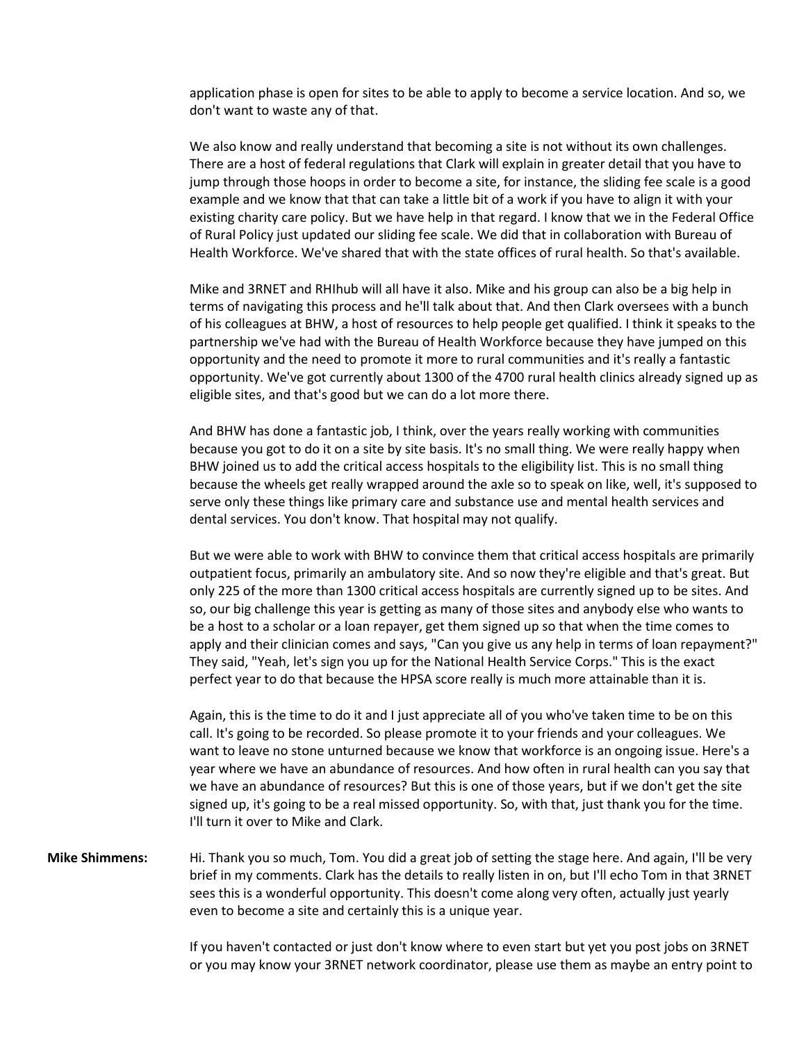application phase is open for sites to be able to apply to become a service location. And so, we don't want to waste any of that.

We also know and really understand that becoming a site is not without its own challenges. There are a host of federal regulations that Clark will explain in greater detail that you have to jump through those hoops in order to become a site, for instance, the sliding fee scale is a good example and we know that that can take a little bit of a work if you have to align it with your existing charity care policy. But we have help in that regard. I know that we in the Federal Office of Rural Policy just updated our sliding fee scale. We did that in collaboration with Bureau of Health Workforce. We've shared that with the state offices of rural health. So that's available.

Mike and 3RNET and RHIhub will all have it also. Mike and his group can also be a big help in terms of navigating this process and he'll talk about that. And then Clark oversees with a bunch of his colleagues at BHW, a host of resources to help people get qualified. I think it speaks to the partnership we've had with the Bureau of Health Workforce because they have jumped on this opportunity and the need to promote it more to rural communities and it's really a fantastic opportunity. We've got currently about 1300 of the 4700 rural health clinics already signed up as eligible sites, and that's good but we can do a lot more there.

And BHW has done a fantastic job, I think, over the years really working with communities because you got to do it on a site by site basis. It's no small thing. We were really happy when BHW joined us to add the critical access hospitals to the eligibility list. This is no small thing because the wheels get really wrapped around the axle so to speak on like, well, it's supposed to serve only these things like primary care and substance use and mental health services and dental services. You don't know. That hospital may not qualify.

But we were able to work with BHW to convince them that critical access hospitals are primarily outpatient focus, primarily an ambulatory site. And so now they're eligible and that's great. But only 225 of the more than 1300 critical access hospitals are currently signed up to be sites. And so, our big challenge this year is getting as many of those sites and anybody else who wants to be a host to a scholar or a loan repayer, get them signed up so that when the time comes to apply and their clinician comes and says, "Can you give us any help in terms of loan repayment?" They said, "Yeah, let's sign you up for the National Health Service Corps." This is the exact perfect year to do that because the HPSA score really is much more attainable than it is.

Again, this is the time to do it and I just appreciate all of you who've taken time to be on this call. It's going to be recorded. So please promote it to your friends and your colleagues. We want to leave no stone unturned because we know that workforce is an ongoing issue. Here's a year where we have an abundance of resources. And how often in rural health can you say that we have an abundance of resources? But this is one of those years, but if we don't get the site signed up, it's going to be a real missed opportunity. So, with that, just thank you for the time. I'll turn it over to Mike and Clark.

**Mike Shimmens:** Hi. Thank you so much, Tom. You did a great job of setting the stage here. And again, I'll be very brief in my comments. Clark has the details to really listen in on, but I'll echo Tom in that 3RNET sees this is a wonderful opportunity. This doesn't come along very often, actually just yearly even to become a site and certainly this is a unique year.

> If you haven't contacted or just don't know where to even start but yet you post jobs on 3RNET or you may know your 3RNET network coordinator, please use them as maybe an entry point to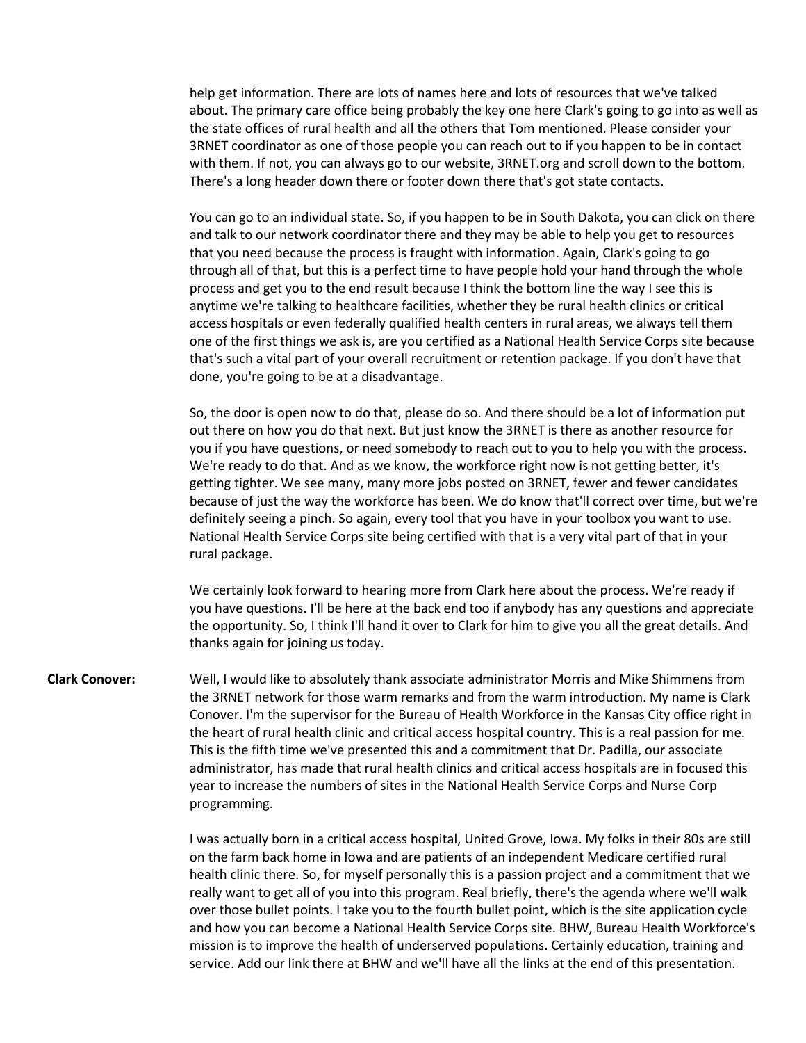help get information. There are lots of names here and lots of resources that we've talked about. The primary care office being probably the key one here Clark's going to go into as well as the state offices of rural health and all the others that Tom mentioned. Please consider your 3RNET coordinator as one of those people you can reach out to if you happen to be in contact with them. If not, you can always go to our website, 3RNET.org and scroll down to the bottom. There's a long header down there or footer down there that's got state contacts.

You can go to an individual state. So, if you happen to be in South Dakota, you can click on there and talk to our network coordinator there and they may be able to help you get to resources that you need because the process is fraught with information. Again, Clark's going to go through all of that, but this is a perfect time to have people hold your hand through the whole process and get you to the end result because I think the bottom line the way I see this is anytime we're talking to healthcare facilities, whether they be rural health clinics or critical access hospitals or even federally qualified health centers in rural areas, we always tell them one of the first things we ask is, are you certified as a National Health Service Corps site because that's such a vital part of your overall recruitment or retention package. If you don't have that done, you're going to be at a disadvantage.

So, the door is open now to do that, please do so. And there should be a lot of information put out there on how you do that next. But just know the 3RNET is there as another resource for you if you have questions, or need somebody to reach out to you to help you with the process. We're ready to do that. And as we know, the workforce right now is not getting better, it's getting tighter. We see many, many more jobs posted on 3RNET, fewer and fewer candidates because of just the way the workforce has been. We do know that'll correct over time, but we're definitely seeing a pinch. So again, every tool that you have in your toolbox you want to use. National Health Service Corps site being certified with that is a very vital part of that in your rural package.

We certainly look forward to hearing more from Clark here about the process. We're ready if you have questions. I'll be here at the back end too if anybody has any questions and appreciate the opportunity. So, I think I'll hand it over to Clark for him to give you all the great details. And thanks again for joining us today.

**Clark Conover:** Well, I would like to absolutely thank associate administrator Morris and Mike Shimmens from the 3RNET network for those warm remarks and from the warm introduction. My name is Clark Conover. I'm the supervisor for the Bureau of Health Workforce in the Kansas City office right in the heart of rural health clinic and critical access hospital country. This is a real passion for me. This is the fifth time we've presented this and a commitment that Dr. Padilla, our associate administrator, has made that rural health clinics and critical access hospitals are in focused this year to increase the numbers of sites in the National Health Service Corps and Nurse Corp programming.

> I was actually born in a critical access hospital, United Grove, Iowa. My folks in their 80s are still on the farm back home in Iowa and are patients of an independent Medicare certified rural health clinic there. So, for myself personally this is a passion project and a commitment that we really want to get all of you into this program. Real briefly, there's the agenda where we'll walk over those bullet points. I take you to the fourth bullet point, which is the site application cycle and how you can become a National Health Service Corps site. BHW, Bureau Health Workforce's mission is to improve the health of underserved populations. Certainly education, training and service. Add our link there at BHW and we'll have all the links at the end of this presentation.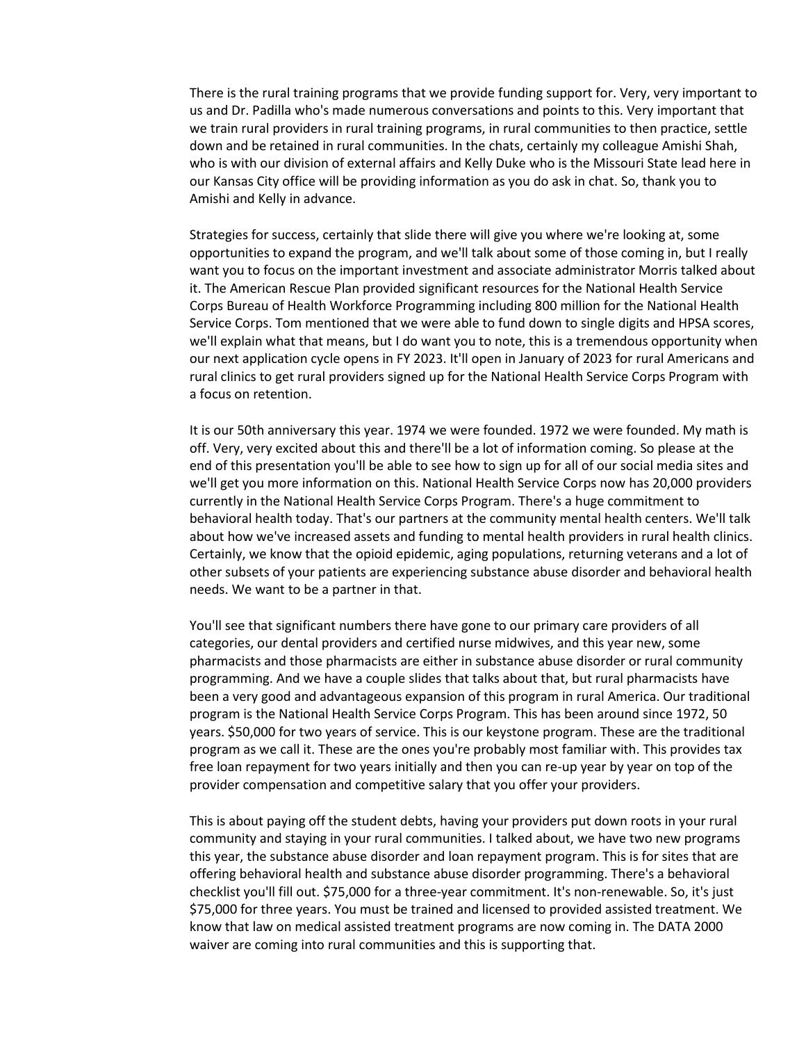There is the rural training programs that we provide funding support for. Very, very important to us and Dr. Padilla who's made numerous conversations and points to this. Very important that we train rural providers in rural training programs, in rural communities to then practice, settle down and be retained in rural communities. In the chats, certainly my colleague Amishi Shah, who is with our division of external affairs and Kelly Duke who is the Missouri State lead here in our Kansas City office will be providing information as you do ask in chat. So, thank you to Amishi and Kelly in advance.

Strategies for success, certainly that slide there will give you where we're looking at, some opportunities to expand the program, and we'll talk about some of those coming in, but I really want you to focus on the important investment and associate administrator Morris talked about it. The American Rescue Plan provided significant resources for the National Health Service Corps Bureau of Health Workforce Programming including 800 million for the National Health Service Corps. Tom mentioned that we were able to fund down to single digits and HPSA scores, we'll explain what that means, but I do want you to note, this is a tremendous opportunity when our next application cycle opens in FY 2023. It'll open in January of 2023 for rural Americans and rural clinics to get rural providers signed up for the National Health Service Corps Program with a focus on retention.

It is our 50th anniversary this year. 1974 we were founded. 1972 we were founded. My math is off. Very, very excited about this and there'll be a lot of information coming. So please at the end of this presentation you'll be able to see how to sign up for all of our social media sites and we'll get you more information on this. National Health Service Corps now has 20,000 providers currently in the National Health Service Corps Program. There's a huge commitment to behavioral health today. That's our partners at the community mental health centers. We'll talk about how we've increased assets and funding to mental health providers in rural health clinics. Certainly, we know that the opioid epidemic, aging populations, returning veterans and a lot of other subsets of your patients are experiencing substance abuse disorder and behavioral health needs. We want to be a partner in that.

You'll see that significant numbers there have gone to our primary care providers of all categories, our dental providers and certified nurse midwives, and this year new, some pharmacists and those pharmacists are either in substance abuse disorder or rural community programming. And we have a couple slides that talks about that, but rural pharmacists have been a very good and advantageous expansion of this program in rural America. Our traditional program is the National Health Service Corps Program. This has been around since 1972, 50 years. \$50,000 for two years of service. This is our keystone program. These are the traditional program as we call it. These are the ones you're probably most familiar with. This provides tax free loan repayment for two years initially and then you can re-up year by year on top of the provider compensation and competitive salary that you offer your providers.

This is about paying off the student debts, having your providers put down roots in your rural community and staying in your rural communities. I talked about, we have two new programs this year, the substance abuse disorder and loan repayment program. This is for sites that are offering behavioral health and substance abuse disorder programming. There's a behavioral checklist you'll fill out. \$75,000 for a three-year commitment. It's non-renewable. So, it's just \$75,000 for three years. You must be trained and licensed to provided assisted treatment. We know that law on medical assisted treatment programs are now coming in. The DATA 2000 waiver are coming into rural communities and this is supporting that.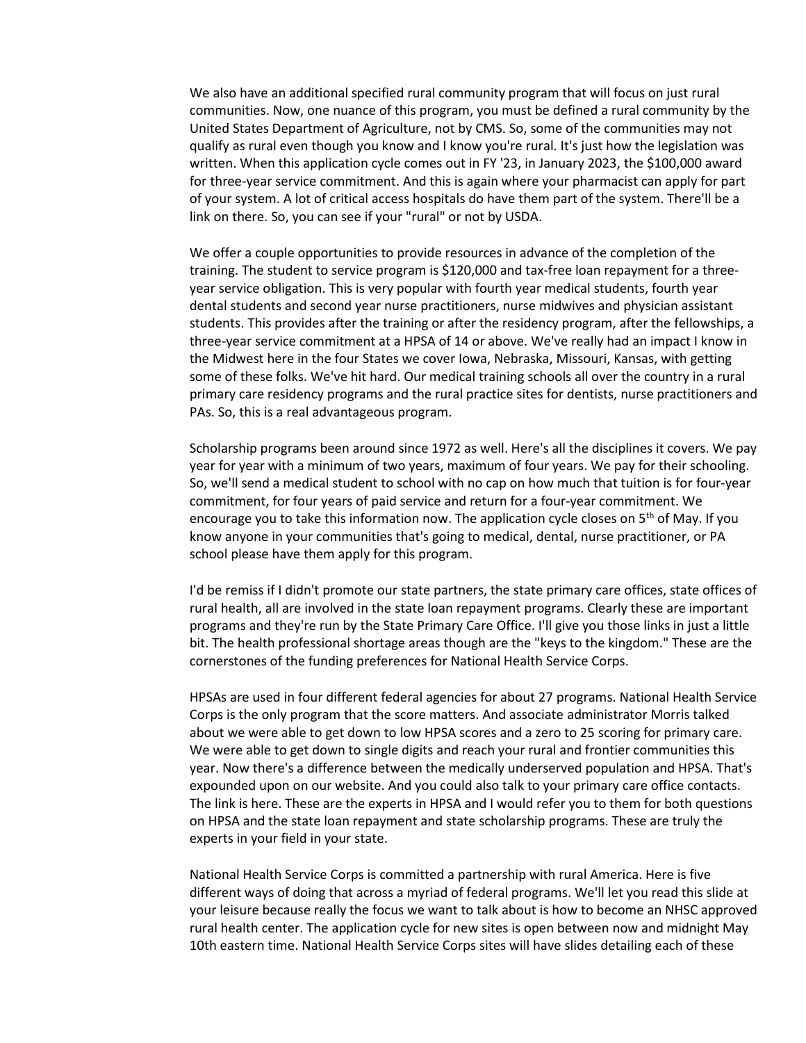We also have an additional specified rural community program that will focus on just rural communities. Now, one nuance of this program, you must be defined a rural community by the United States Department of Agriculture, not by CMS. So, some of the communities may not qualify as rural even though you know and I know you're rural. It's just how the legislation was written. When this application cycle comes out in FY '23, in January 2023, the \$100,000 award for three-year service commitment. And this is again where your pharmacist can apply for part of your system. A lot of critical access hospitals do have them part of the system. There'll be a link on there. So, you can see if your "rural" or not by USDA.

We offer a couple opportunities to provide resources in advance of the completion of the training. The student to service program is \$120,000 and tax-free loan repayment for a threeyear service obligation. This is very popular with fourth year medical students, fourth year dental students and second year nurse practitioners, nurse midwives and physician assistant students. This provides after the training or after the residency program, after the fellowships, a three-year service commitment at a HPSA of 14 or above. We've really had an impact I know in the Midwest here in the four States we cover Iowa, Nebraska, Missouri, Kansas, with getting some of these folks. We've hit hard. Our medical training schools all over the country in a rural primary care residency programs and the rural practice sites for dentists, nurse practitioners and PAs. So, this is a real advantageous program.

Scholarship programs been around since 1972 as well. Here's all the disciplines it covers. We pay year for year with a minimum of two years, maximum of four years. We pay for their schooling. So, we'll send a medical student to school with no cap on how much that tuition is for four-year commitment, for four years of paid service and return for a four-year commitment. We encourage you to take this information now. The application cycle closes on  $5<sup>th</sup>$  of May. If you know anyone in your communities that's going to medical, dental, nurse practitioner, or PA school please have them apply for this program.

I'd be remiss if I didn't promote our state partners, the state primary care offices, state offices of rural health, all are involved in the state loan repayment programs. Clearly these are important programs and they're run by the State Primary Care Office. I'll give you those links in just a little bit. The health professional shortage areas though are the "keys to the kingdom." These are the cornerstones of the funding preferences for National Health Service Corps.

HPSAs are used in four different federal agencies for about 27 programs. National Health Service Corps is the only program that the score matters. And associate administrator Morris talked about we were able to get down to low HPSA scores and a zero to 25 scoring for primary care. We were able to get down to single digits and reach your rural and frontier communities this year. Now there's a difference between the medically underserved population and HPSA. That's expounded upon on our website. And you could also talk to your primary care office contacts. The link is here. These are the experts in HPSA and I would refer you to them for both questions on HPSA and the state loan repayment and state scholarship programs. These are truly the experts in your field in your state.

National Health Service Corps is committed a partnership with rural America. Here is five different ways of doing that across a myriad of federal programs. We'll let you read this slide at your leisure because really the focus we want to talk about is how to become an NHSC approved rural health center. The application cycle for new sites is open between now and midnight May 10th eastern time. National Health Service Corps sites will have slides detailing each of these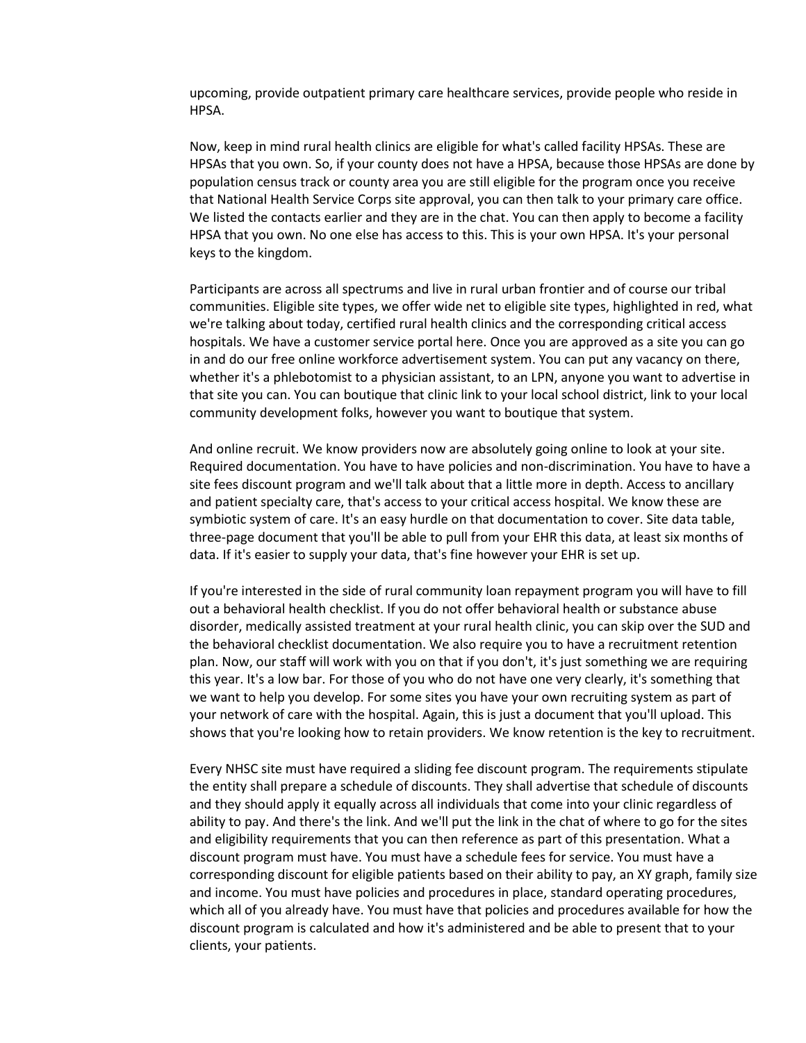upcoming, provide outpatient primary care healthcare services, provide people who reside in HPSA.

Now, keep in mind rural health clinics are eligible for what's called facility HPSAs. These are HPSAs that you own. So, if your county does not have a HPSA, because those HPSAs are done by population census track or county area you are still eligible for the program once you receive that National Health Service Corps site approval, you can then talk to your primary care office. We listed the contacts earlier and they are in the chat. You can then apply to become a facility HPSA that you own. No one else has access to this. This is your own HPSA. It's your personal keys to the kingdom.

Participants are across all spectrums and live in rural urban frontier and of course our tribal communities. Eligible site types, we offer wide net to eligible site types, highlighted in red, what we're talking about today, certified rural health clinics and the corresponding critical access hospitals. We have a customer service portal here. Once you are approved as a site you can go in and do our free online workforce advertisement system. You can put any vacancy on there, whether it's a phlebotomist to a physician assistant, to an LPN, anyone you want to advertise in that site you can. You can boutique that clinic link to your local school district, link to your local community development folks, however you want to boutique that system.

And online recruit. We know providers now are absolutely going online to look at your site. Required documentation. You have to have policies and non-discrimination. You have to have a site fees discount program and we'll talk about that a little more in depth. Access to ancillary and patient specialty care, that's access to your critical access hospital. We know these are symbiotic system of care. It's an easy hurdle on that documentation to cover. Site data table, three-page document that you'll be able to pull from your EHR this data, at least six months of data. If it's easier to supply your data, that's fine however your EHR is set up.

If you're interested in the side of rural community loan repayment program you will have to fill out a behavioral health checklist. If you do not offer behavioral health or substance abuse disorder, medically assisted treatment at your rural health clinic, you can skip over the SUD and the behavioral checklist documentation. We also require you to have a recruitment retention plan. Now, our staff will work with you on that if you don't, it's just something we are requiring this year. It's a low bar. For those of you who do not have one very clearly, it's something that we want to help you develop. For some sites you have your own recruiting system as part of your network of care with the hospital. Again, this is just a document that you'll upload. This shows that you're looking how to retain providers. We know retention is the key to recruitment.

Every NHSC site must have required a sliding fee discount program. The requirements stipulate the entity shall prepare a schedule of discounts. They shall advertise that schedule of discounts and they should apply it equally across all individuals that come into your clinic regardless of ability to pay. And there's the link. And we'll put the link in the chat of where to go for the sites and eligibility requirements that you can then reference as part of this presentation. What a discount program must have. You must have a schedule fees for service. You must have a corresponding discount for eligible patients based on their ability to pay, an XY graph, family size and income. You must have policies and procedures in place, standard operating procedures, which all of you already have. You must have that policies and procedures available for how the discount program is calculated and how it's administered and be able to present that to your clients, your patients.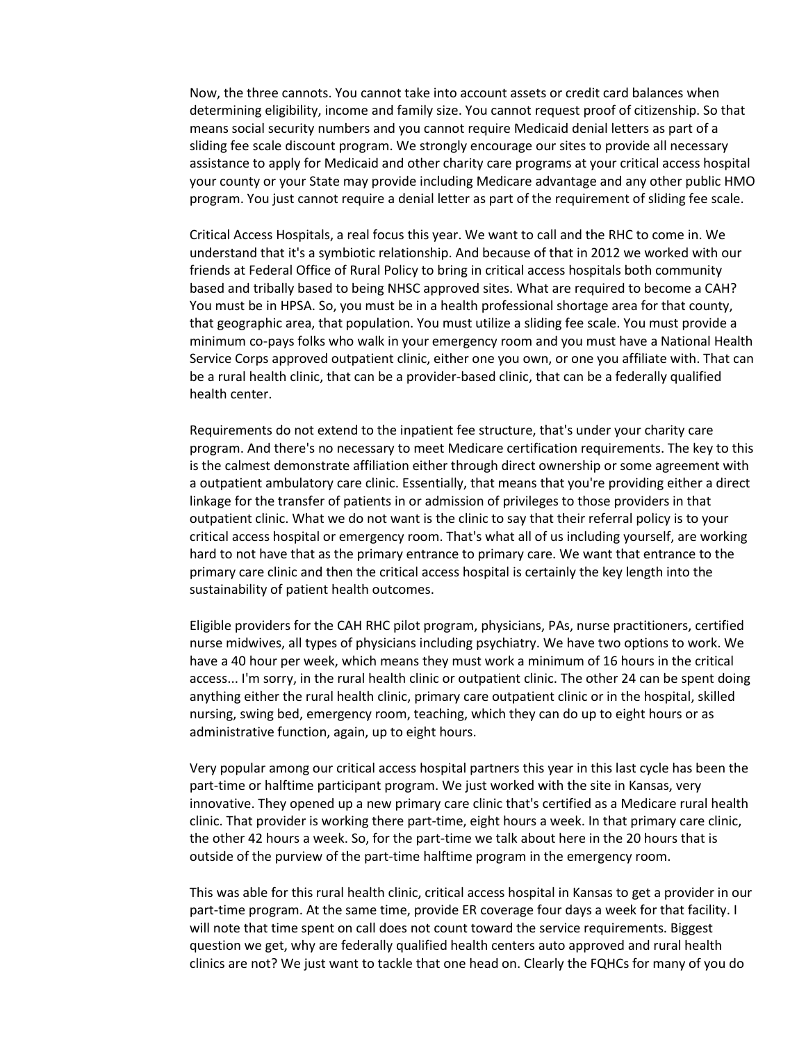Now, the three cannots. You cannot take into account assets or credit card balances when determining eligibility, income and family size. You cannot request proof of citizenship. So that means social security numbers and you cannot require Medicaid denial letters as part of a sliding fee scale discount program. We strongly encourage our sites to provide all necessary assistance to apply for Medicaid and other charity care programs at your critical access hospital your county or your State may provide including Medicare advantage and any other public HMO program. You just cannot require a denial letter as part of the requirement of sliding fee scale.

Critical Access Hospitals, a real focus this year. We want to call and the RHC to come in. We understand that it's a symbiotic relationship. And because of that in 2012 we worked with our friends at Federal Office of Rural Policy to bring in critical access hospitals both community based and tribally based to being NHSC approved sites. What are required to become a CAH? You must be in HPSA. So, you must be in a health professional shortage area for that county, that geographic area, that population. You must utilize a sliding fee scale. You must provide a minimum co-pays folks who walk in your emergency room and you must have a National Health Service Corps approved outpatient clinic, either one you own, or one you affiliate with. That can be a rural health clinic, that can be a provider-based clinic, that can be a federally qualified health center.

Requirements do not extend to the inpatient fee structure, that's under your charity care program. And there's no necessary to meet Medicare certification requirements. The key to this is the calmest demonstrate affiliation either through direct ownership or some agreement with a outpatient ambulatory care clinic. Essentially, that means that you're providing either a direct linkage for the transfer of patients in or admission of privileges to those providers in that outpatient clinic. What we do not want is the clinic to say that their referral policy is to your critical access hospital or emergency room. That's what all of us including yourself, are working hard to not have that as the primary entrance to primary care. We want that entrance to the primary care clinic and then the critical access hospital is certainly the key length into the sustainability of patient health outcomes.

Eligible providers for the CAH RHC pilot program, physicians, PAs, nurse practitioners, certified nurse midwives, all types of physicians including psychiatry. We have two options to work. We have a 40 hour per week, which means they must work a minimum of 16 hours in the critical access... I'm sorry, in the rural health clinic or outpatient clinic. The other 24 can be spent doing anything either the rural health clinic, primary care outpatient clinic or in the hospital, skilled nursing, swing bed, emergency room, teaching, which they can do up to eight hours or as administrative function, again, up to eight hours.

Very popular among our critical access hospital partners this year in this last cycle has been the part-time or halftime participant program. We just worked with the site in Kansas, very innovative. They opened up a new primary care clinic that's certified as a Medicare rural health clinic. That provider is working there part-time, eight hours a week. In that primary care clinic, the other 42 hours a week. So, for the part-time we talk about here in the 20 hours that is outside of the purview of the part-time halftime program in the emergency room.

This was able for this rural health clinic, critical access hospital in Kansas to get a provider in our part-time program. At the same time, provide ER coverage four days a week for that facility. I will note that time spent on call does not count toward the service requirements. Biggest question we get, why are federally qualified health centers auto approved and rural health clinics are not? We just want to tackle that one head on. Clearly the FQHCs for many of you do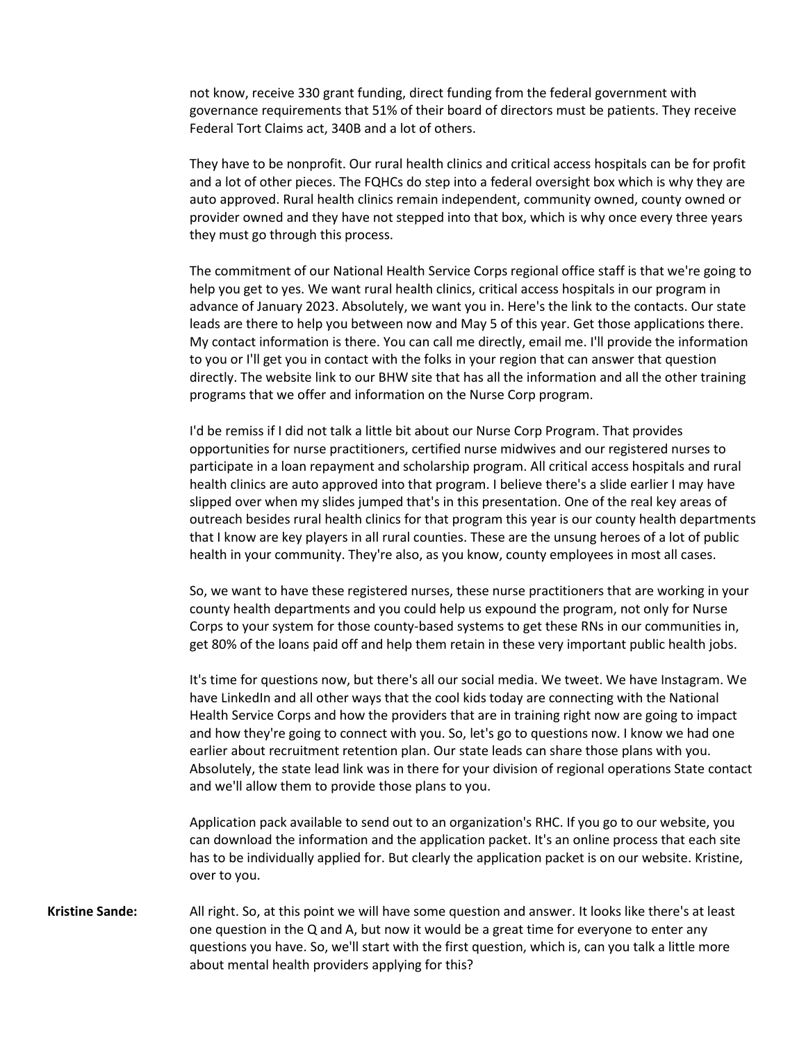not know, receive 330 grant funding, direct funding from the federal government with governance requirements that 51% of their board of directors must be patients. They receive Federal Tort Claims act, 340B and a lot of others.

They have to be nonprofit. Our rural health clinics and critical access hospitals can be for profit and a lot of other pieces. The FQHCs do step into a federal oversight box which is why they are auto approved. Rural health clinics remain independent, community owned, county owned or provider owned and they have not stepped into that box, which is why once every three years they must go through this process.

The commitment of our National Health Service Corps regional office staff is that we're going to help you get to yes. We want rural health clinics, critical access hospitals in our program in advance of January 2023. Absolutely, we want you in. Here's the link to the contacts. Our state leads are there to help you between now and May 5 of this year. Get those applications there. My contact information is there. You can call me directly, email me. I'll provide the information to you or I'll get you in contact with the folks in your region that can answer that question directly. The website link to our BHW site that has all the information and all the other training programs that we offer and information on the Nurse Corp program.

I'd be remiss if I did not talk a little bit about our Nurse Corp Program. That provides opportunities for nurse practitioners, certified nurse midwives and our registered nurses to participate in a loan repayment and scholarship program. All critical access hospitals and rural health clinics are auto approved into that program. I believe there's a slide earlier I may have slipped over when my slides jumped that's in this presentation. One of the real key areas of outreach besides rural health clinics for that program this year is our county health departments that I know are key players in all rural counties. These are the unsung heroes of a lot of public health in your community. They're also, as you know, county employees in most all cases.

So, we want to have these registered nurses, these nurse practitioners that are working in your county health departments and you could help us expound the program, not only for Nurse Corps to your system for those county-based systems to get these RNs in our communities in, get 80% of the loans paid off and help them retain in these very important public health jobs.

It's time for questions now, but there's all our social media. We tweet. We have Instagram. We have LinkedIn and all other ways that the cool kids today are connecting with the National Health Service Corps and how the providers that are in training right now are going to impact and how they're going to connect with you. So, let's go to questions now. I know we had one earlier about recruitment retention plan. Our state leads can share those plans with you. Absolutely, the state lead link was in there for your division of regional operations State contact and we'll allow them to provide those plans to you.

Application pack available to send out to an organization's RHC. If you go to our website, you can download the information and the application packet. It's an online process that each site has to be individually applied for. But clearly the application packet is on our website. Kristine, over to you.

**Kristine Sande:** All right. So, at this point we will have some question and answer. It looks like there's at least one question in the Q and A, but now it would be a great time for everyone to enter any questions you have. So, we'll start with the first question, which is, can you talk a little more about mental health providers applying for this?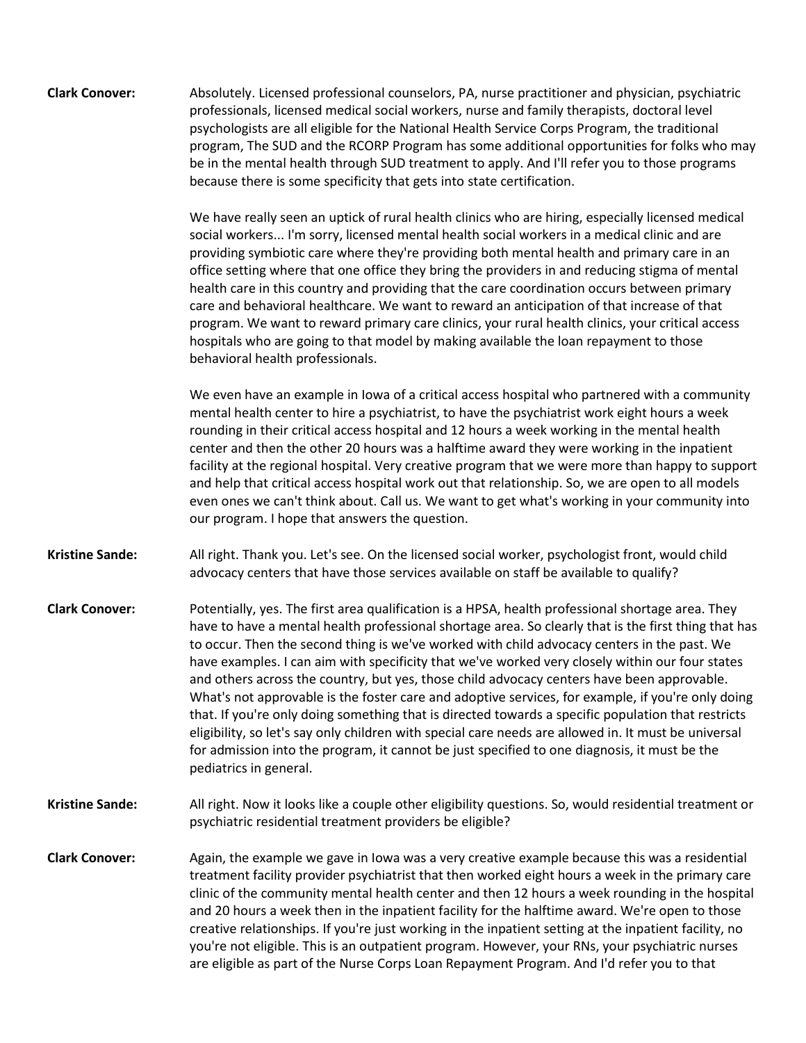**Clark Conover:** Absolutely. Licensed professional counselors, PA, nurse practitioner and physician, psychiatric professionals, licensed medical social workers, nurse and family therapists, doctoral level psychologists are all eligible for the National Health Service Corps Program, the traditional program, The SUD and the RCORP Program has some additional opportunities for folks who may be in the mental health through SUD treatment to apply. And I'll refer you to those programs because there is some specificity that gets into state certification.

> We have really seen an uptick of rural health clinics who are hiring, especially licensed medical social workers... I'm sorry, licensed mental health social workers in a medical clinic and are providing symbiotic care where they're providing both mental health and primary care in an office setting where that one office they bring the providers in and reducing stigma of mental health care in this country and providing that the care coordination occurs between primary care and behavioral healthcare. We want to reward an anticipation of that increase of that program. We want to reward primary care clinics, your rural health clinics, your critical access hospitals who are going to that model by making available the loan repayment to those behavioral health professionals.

We even have an example in Iowa of a critical access hospital who partnered with a community mental health center to hire a psychiatrist, to have the psychiatrist work eight hours a week rounding in their critical access hospital and 12 hours a week working in the mental health center and then the other 20 hours was a halftime award they were working in the inpatient facility at the regional hospital. Very creative program that we were more than happy to support and help that critical access hospital work out that relationship. So, we are open to all models even ones we can't think about. Call us. We want to get what's working in your community into our program. I hope that answers the question.

**Kristine Sande:** All right. Thank you. Let's see. On the licensed social worker, psychologist front, would child advocacy centers that have those services available on staff be available to qualify?

- **Clark Conover:** Potentially, yes. The first area qualification is a HPSA, health professional shortage area. They have to have a mental health professional shortage area. So clearly that is the first thing that has to occur. Then the second thing is we've worked with child advocacy centers in the past. We have examples. I can aim with specificity that we've worked very closely within our four states and others across the country, but yes, those child advocacy centers have been approvable. What's not approvable is the foster care and adoptive services, for example, if you're only doing that. If you're only doing something that is directed towards a specific population that restricts eligibility, so let's say only children with special care needs are allowed in. It must be universal for admission into the program, it cannot be just specified to one diagnosis, it must be the pediatrics in general.
- **Kristine Sande:** All right. Now it looks like a couple other eligibility questions. So, would residential treatment or psychiatric residential treatment providers be eligible?
- **Clark Conover:** Again, the example we gave in Iowa was a very creative example because this was a residential treatment facility provider psychiatrist that then worked eight hours a week in the primary care clinic of the community mental health center and then 12 hours a week rounding in the hospital and 20 hours a week then in the inpatient facility for the halftime award. We're open to those creative relationships. If you're just working in the inpatient setting at the inpatient facility, no you're not eligible. This is an outpatient program. However, your RNs, your psychiatric nurses are eligible as part of the Nurse Corps Loan Repayment Program. And I'd refer you to that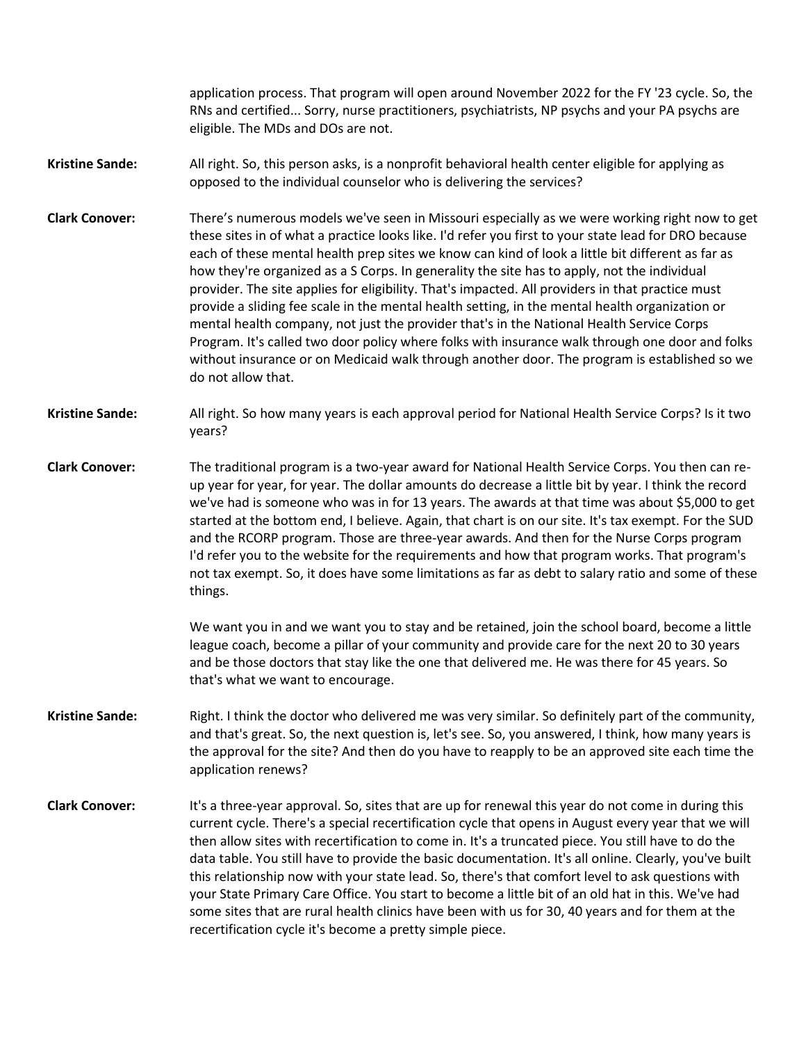application process. That program will open around November 2022 for the FY '23 cycle. So, the RNs and certified... Sorry, nurse practitioners, psychiatrists, NP psychs and your PA psychs are eligible. The MDs and DOs are not.

- **Kristine Sande:** All right. So, this person asks, is a nonprofit behavioral health center eligible for applying as opposed to the individual counselor who is delivering the services?
- **Clark Conover:** There's numerous models we've seen in Missouri especially as we were working right now to get these sites in of what a practice looks like. I'd refer you first to your state lead for DRO because each of these mental health prep sites we know can kind of look a little bit different as far as how they're organized as a S Corps. In generality the site has to apply, not the individual provider. The site applies for eligibility. That's impacted. All providers in that practice must provide a sliding fee scale in the mental health setting, in the mental health organization or mental health company, not just the provider that's in the National Health Service Corps Program. It's called two door policy where folks with insurance walk through one door and folks without insurance or on Medicaid walk through another door. The program is established so we do not allow that.
- **Kristine Sande:** All right. So how many years is each approval period for National Health Service Corps? Is it two years?
- **Clark Conover:** The traditional program is a two-year award for National Health Service Corps. You then can reup year for year, for year. The dollar amounts do decrease a little bit by year. I think the record we've had is someone who was in for 13 years. The awards at that time was about \$5,000 to get started at the bottom end, I believe. Again, that chart is on our site. It's tax exempt. For the SUD and the RCORP program. Those are three-year awards. And then for the Nurse Corps program I'd refer you to the website for the requirements and how that program works. That program's not tax exempt. So, it does have some limitations as far as debt to salary ratio and some of these things.

We want you in and we want you to stay and be retained, join the school board, become a little league coach, become a pillar of your community and provide care for the next 20 to 30 years and be those doctors that stay like the one that delivered me. He was there for 45 years. So that's what we want to encourage.

- **Kristine Sande:** Right. I think the doctor who delivered me was very similar. So definitely part of the community, and that's great. So, the next question is, let's see. So, you answered, I think, how many years is the approval for the site? And then do you have to reapply to be an approved site each time the application renews?
- **Clark Conover:** It's a three-year approval. So, sites that are up for renewal this year do not come in during this current cycle. There's a special recertification cycle that opens in August every year that we will then allow sites with recertification to come in. It's a truncated piece. You still have to do the data table. You still have to provide the basic documentation. It's all online. Clearly, you've built this relationship now with your state lead. So, there's that comfort level to ask questions with your State Primary Care Office. You start to become a little bit of an old hat in this. We've had some sites that are rural health clinics have been with us for 30, 40 years and for them at the recertification cycle it's become a pretty simple piece.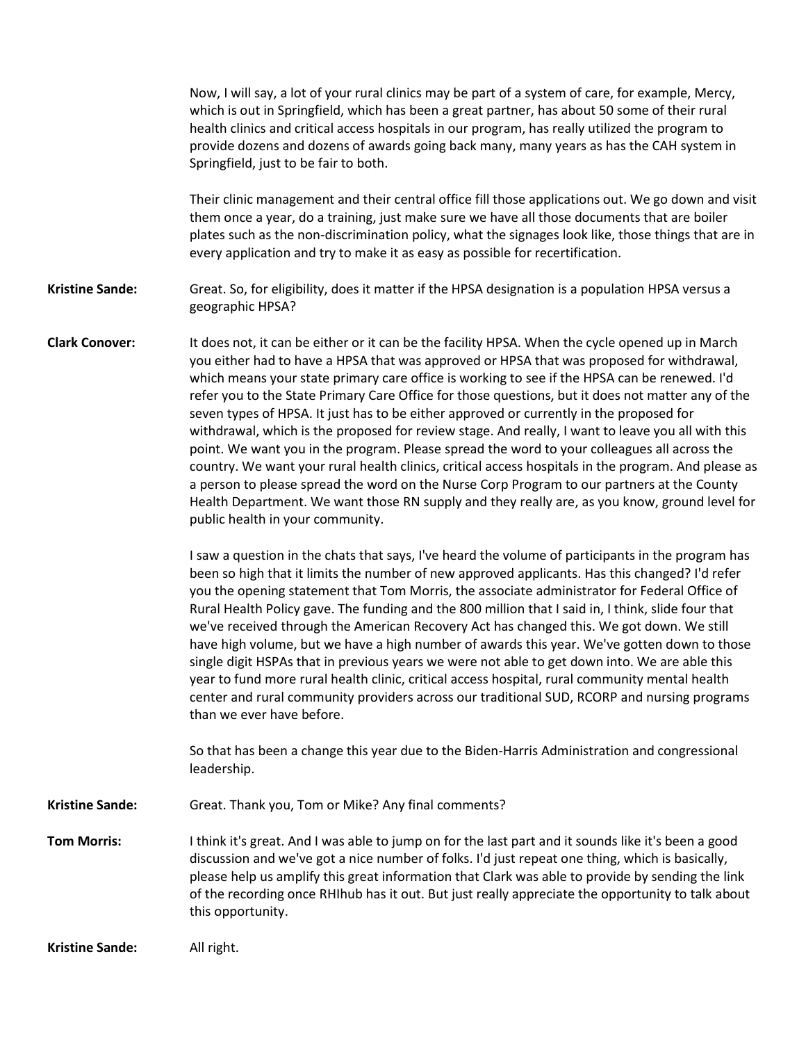|                        | Now, I will say, a lot of your rural clinics may be part of a system of care, for example, Mercy,<br>which is out in Springfield, which has been a great partner, has about 50 some of their rural<br>health clinics and critical access hospitals in our program, has really utilized the program to<br>provide dozens and dozens of awards going back many, many years as has the CAH system in<br>Springfield, just to be fair to both.                                                                                                                                                                                                                                                                                                                                                                                                                                                                                                                                                                                                 |
|------------------------|--------------------------------------------------------------------------------------------------------------------------------------------------------------------------------------------------------------------------------------------------------------------------------------------------------------------------------------------------------------------------------------------------------------------------------------------------------------------------------------------------------------------------------------------------------------------------------------------------------------------------------------------------------------------------------------------------------------------------------------------------------------------------------------------------------------------------------------------------------------------------------------------------------------------------------------------------------------------------------------------------------------------------------------------|
|                        | Their clinic management and their central office fill those applications out. We go down and visit<br>them once a year, do a training, just make sure we have all those documents that are boiler<br>plates such as the non-discrimination policy, what the signages look like, those things that are in<br>every application and try to make it as easy as possible for recertification.                                                                                                                                                                                                                                                                                                                                                                                                                                                                                                                                                                                                                                                  |
| <b>Kristine Sande:</b> | Great. So, for eligibility, does it matter if the HPSA designation is a population HPSA versus a<br>geographic HPSA?                                                                                                                                                                                                                                                                                                                                                                                                                                                                                                                                                                                                                                                                                                                                                                                                                                                                                                                       |
| <b>Clark Conover:</b>  | It does not, it can be either or it can be the facility HPSA. When the cycle opened up in March<br>you either had to have a HPSA that was approved or HPSA that was proposed for withdrawal,<br>which means your state primary care office is working to see if the HPSA can be renewed. I'd<br>refer you to the State Primary Care Office for those questions, but it does not matter any of the<br>seven types of HPSA. It just has to be either approved or currently in the proposed for<br>withdrawal, which is the proposed for review stage. And really, I want to leave you all with this<br>point. We want you in the program. Please spread the word to your colleagues all across the<br>country. We want your rural health clinics, critical access hospitals in the program. And please as<br>a person to please spread the word on the Nurse Corp Program to our partners at the County<br>Health Department. We want those RN supply and they really are, as you know, ground level for<br>public health in your community. |
|                        | I saw a question in the chats that says, I've heard the volume of participants in the program has<br>been so high that it limits the number of new approved applicants. Has this changed? I'd refer<br>you the opening statement that Tom Morris, the associate administrator for Federal Office of<br>Rural Health Policy gave. The funding and the 800 million that I said in, I think, slide four that<br>we've received through the American Recovery Act has changed this. We got down. We still<br>have high volume, but we have a high number of awards this year. We've gotten down to those<br>single digit HSPAs that in previous years we were not able to get down into. We are able this<br>year to fund more rural health clinic, critical access hospital, rural community mental health<br>center and rural community providers across our traditional SUD, RCORP and nursing programs<br>than we ever have before.                                                                                                        |
|                        | So that has been a change this year due to the Biden-Harris Administration and congressional<br>leadership.                                                                                                                                                                                                                                                                                                                                                                                                                                                                                                                                                                                                                                                                                                                                                                                                                                                                                                                                |
| <b>Kristine Sande:</b> | Great. Thank you, Tom or Mike? Any final comments?                                                                                                                                                                                                                                                                                                                                                                                                                                                                                                                                                                                                                                                                                                                                                                                                                                                                                                                                                                                         |
| <b>Tom Morris:</b>     | I think it's great. And I was able to jump on for the last part and it sounds like it's been a good<br>discussion and we've got a nice number of folks. I'd just repeat one thing, which is basically,<br>please help us amplify this great information that Clark was able to provide by sending the link<br>of the recording once RHIhub has it out. But just really appreciate the opportunity to talk about<br>this opportunity.                                                                                                                                                                                                                                                                                                                                                                                                                                                                                                                                                                                                       |
| <b>Kristine Sande:</b> | All right.                                                                                                                                                                                                                                                                                                                                                                                                                                                                                                                                                                                                                                                                                                                                                                                                                                                                                                                                                                                                                                 |